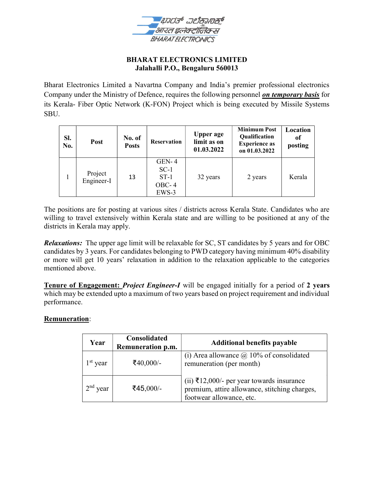

## BHARAT ELECTRONICS LIMITED Jalahalli P.O., Bengaluru 560013

Bharat Electronics Limited a Navartna Company and India's premier professional electronics Company under the Ministry of Defence, requires the following personnel on temporary basis for its Kerala- Fiber Optic Network (K-FON) Project which is being executed by Missile Systems SBU.

| SI.<br>No. | Post                  | No. of<br><b>Posts</b> | <b>Reservation</b>                              | <b>Upper age</b><br>limit as on<br>01.03.2022 | <b>Minimum Post</b><br>Qualification<br><b>Experience as</b><br>on 01.03.2022 | Location<br>of<br>posting |
|------------|-----------------------|------------------------|-------------------------------------------------|-----------------------------------------------|-------------------------------------------------------------------------------|---------------------------|
|            | Project<br>Engineer-I | 13                     | $GEN-4$<br>$SC-1$<br>$ST-1$<br>$OBC-4$<br>EWS-3 | 32 years                                      | 2 years                                                                       | Kerala                    |

The positions are for posting at various sites / districts across Kerala State. Candidates who are willing to travel extensively within Kerala state and are willing to be positioned at any of the districts in Kerala may apply.

Relaxations: The upper age limit will be relaxable for SC, ST candidates by 5 years and for OBC candidates by 3 years. For candidates belonging to PWD category having minimum 40% disability or more will get 10 years' relaxation in addition to the relaxation applicable to the categories mentioned above.

Tenure of Engagement: *Project Engineer-I* will be engaged initially for a period of 2 years which may be extended upto a maximum of two years based on project requirement and individual performance.

# Remuneration:

| Year                    | Consolidated<br>Remuneration p.m. | <b>Additional benefits payable</b>                                                                                     |
|-------------------------|-----------------------------------|------------------------------------------------------------------------------------------------------------------------|
| $1st$ year              | ₹40,000/-                         | (i) Area allowance $\omega$ 10% of consolidated<br>remuneration (per month)                                            |
| 2 <sup>nd</sup><br>year | ₹45,000/-                         | (ii) ₹12,000/- per year towards insurance<br>premium, attire allowance, stitching charges,<br>footwear allowance, etc. |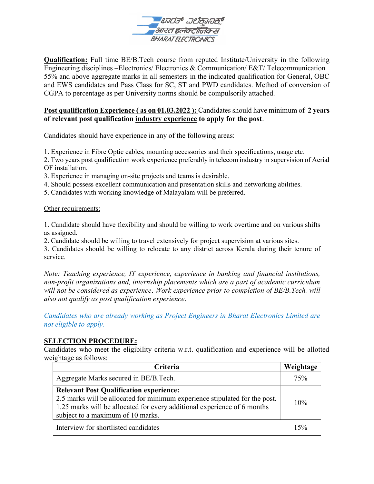

Qualification: Full time BE/B.Tech course from reputed Institute/University in the following Engineering disciplines –Electronics/ Electronics & Communication/ E&T/ Telecommunication 55% and above aggregate marks in all semesters in the indicated qualification for General, OBC and EWS candidates and Pass Class for SC, ST and PWD candidates. Method of conversion of CGPA to percentage as per University norms should be compulsorily attached.

# Post qualification Experience (as on 01.03.2022): Candidates should have minimum of 2 years of relevant post qualification industry experience to apply for the post.

Candidates should have experience in any of the following areas:

1. Experience in Fibre Optic cables, mounting accessories and their specifications, usage etc.

2. Two years post qualification work experience preferably in telecom industry in supervision of Aerial OF installation.

- 3. Experience in managing on-site projects and teams is desirable.
- 4. Should possess excellent communication and presentation skills and networking abilities.
- 5. Candidates with working knowledge of Malayalam will be preferred.

Other requirements:

1. Candidate should have flexibility and should be willing to work overtime and on various shifts as assigned.

2. Candidate should be willing to travel extensively for project supervision at various sites.

3. Candidates should be willing to relocate to any district across Kerala during their tenure of service.

Note: Teaching experience, IT experience, experience in banking and financial institutions, non-profit organizations and, internship placements which are a part of academic curriculum will not be considered as experience. Work experience prior to completion of BE/B.Tech. will also not qualify as post qualification experience.

Candidates who are already working as Project Engineers in Bharat Electronics Limited are not eligible to apply.

#### SELECTION PROCEDURE:

Candidates who meet the eligibility criteria w.r.t. qualification and experience will be allotted weightage as follows:

| Criteria                                                                                                                                                                                                                                       | Weightage |
|------------------------------------------------------------------------------------------------------------------------------------------------------------------------------------------------------------------------------------------------|-----------|
| Aggregate Marks secured in BE/B.Tech.                                                                                                                                                                                                          | 75%       |
| <b>Relevant Post Qualification experience:</b><br>2.5 marks will be allocated for minimum experience stipulated for the post.<br>1.25 marks will be allocated for every additional experience of 6 months<br>subject to a maximum of 10 marks. |           |
| Interview for shortlisted candidates                                                                                                                                                                                                           |           |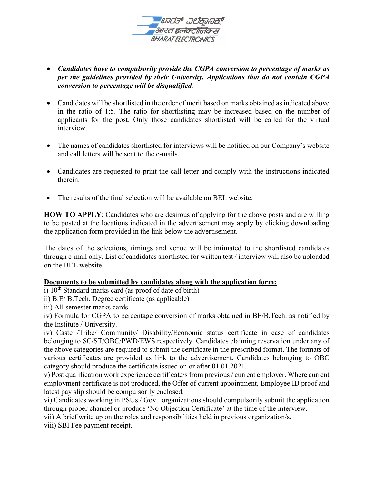

- Candidates have to compulsorily provide the CGPA conversion to percentage of marks as per the guidelines provided by their University. Applications that do not contain CGPA conversion to percentage will be disqualified.
- Candidates will be shortlisted in the order of merit based on marks obtained as indicated above in the ratio of 1:5. The ratio for shortlisting may be increased based on the number of applicants for the post. Only those candidates shortlisted will be called for the virtual interview.
- The names of candidates shortlisted for interviews will be notified on our Company's website and call letters will be sent to the e-mails.
- Candidates are requested to print the call letter and comply with the instructions indicated therein.
- The results of the final selection will be available on BEL website.

HOW TO APPLY: Candidates who are desirous of applying for the above posts and are willing to be posted at the locations indicated in the advertisement may apply by clicking downloading the application form provided in the link below the advertisement.

The dates of the selections, timings and venue will be intimated to the shortlisted candidates through e-mail only. List of candidates shortlisted for written test / interview will also be uploaded on the BEL website.

#### Documents to be submitted by candidates along with the application form:

i)  $10^{th}$  Standard marks card (as proof of date of birth)

ii) B.E/ B.Tech. Degree certificate (as applicable)

iii) All semester marks cards

iv) Formula for CGPA to percentage conversion of marks obtained in BE/B.Tech. as notified by the Institute / University.

iv) Caste /Tribe/ Community/ Disability/Economic status certificate in case of candidates belonging to SC/ST/OBC/PWD/EWS respectively. Candidates claiming reservation under any of the above categories are required to submit the certificate in the prescribed format. The formats of various certificates are provided as link to the advertisement. Candidates belonging to OBC category should produce the certificate issued on or after 01.01.2021.

v) Post qualification work experience certificate/s from previous / current employer. Where current employment certificate is not produced, the Offer of current appointment, Employee ID proof and latest pay slip should be compulsorily enclosed.

vi) Candidates working in PSUs / Govt. organizations should compulsorily submit the application through proper channel or produce 'No Objection Certificate' at the time of the interview.

vii) A brief write up on the roles and responsibilities held in previous organization/s.

viii) SBI Fee payment receipt.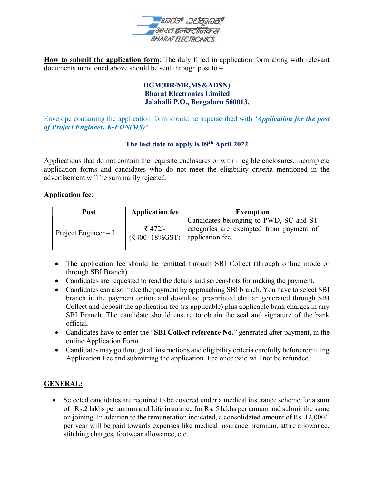

How to submit the application form: The duly filled in application form along with relevant documents mentioned above should be sent through post to –

## DGM(HR/MR,MS&ADSN) Bharat Electronics Limited Jalahalli P.O., Bengaluru 560013.

Envelope containing the application form should be superscribed with 'Application for the post of Project Engineer, K-FON(MS)'

# The last date to apply is 09<sup>th</sup> April 2022

Applications that do not contain the requisite enclosures or with illegible enclosures, incomplete application forms and candidates who do not meet the eligibility criteria mentioned in the advertisement will be summarily rejected.

## Application fee:

| <b>Post</b>           | <b>Application fee</b>      | <b>Exemption</b>                                                                                      |
|-----------------------|-----------------------------|-------------------------------------------------------------------------------------------------------|
| Project Engineer $-I$ | ₹ 472/-<br>$($ ₹400+18%GST) | Candidates belonging to PWD, SC and ST<br>categories are exempted from payment of<br>application fee. |

- The application fee should be remitted through SBI Collect (through online mode or through SBI Branch).
- Candidates are requested to read the details and screenshots for making the payment.
- Candidates can also make the payment by approaching SBI branch. You have to select SBI branch in the payment option and download pre-printed challan generated through SBI Collect and deposit the application fee (as applicable) plus applicable bank charges in any SBI Branch. The candidate should ensure to obtain the seal and signature of the bank official.
- Candidates have to enter the "SBI Collect reference No." generated after payment, in the online Application Form.
- Candidates may go through all instructions and eligibility criteria carefully before remitting Application Fee and submitting the application. Fee once paid will not be refunded.

# GENERAL:

 Selected candidates are required to be covered under a medical insurance scheme for a sum of Rs.2 lakhs per annum and Life insurance for Rs. 5 lakhs per annum and submit the same on joining. In addition to the remuneration indicated, a consolidated amount of Rs. 12,000/ per year will be paid towards expenses like medical insurance premium, attire allowance, stitching charges, footwear allowance, etc.